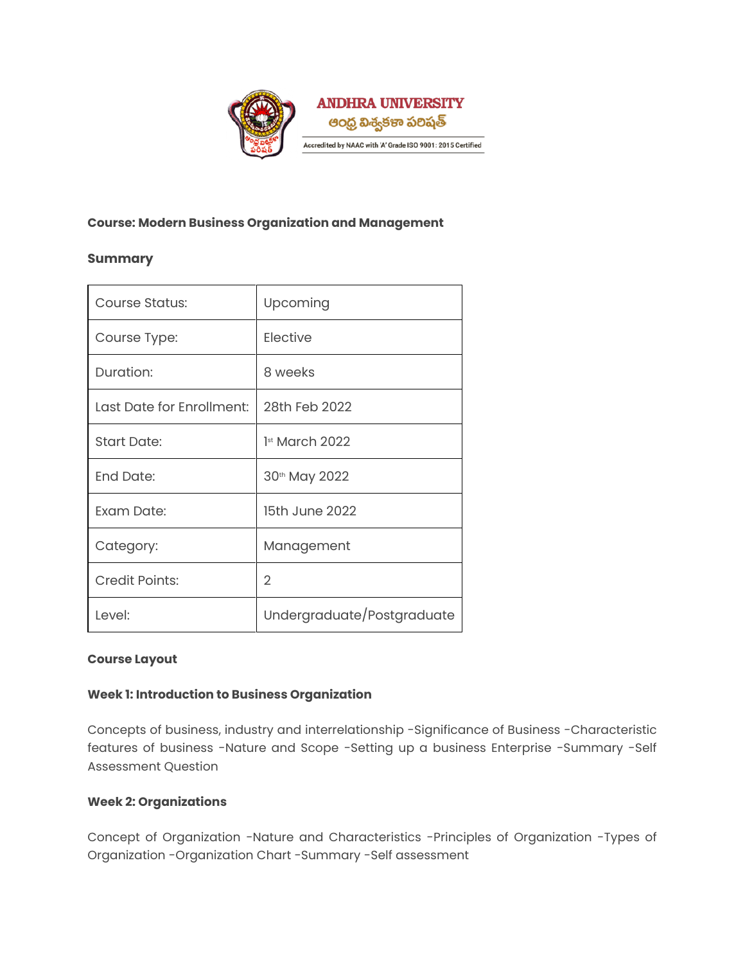

# **Course: Modern Business Organization and Management**

# **Summary**

 $\mathbf{r}$ 

| Course Status:            | Upcoming                   |
|---------------------------|----------------------------|
| Course Type:              | Elective                   |
| Duration:                 | 8 weeks                    |
| Last Date for Enrollment: | 28th Feb 2022              |
| <b>Start Date:</b>        | $1st$ March 2022           |
| <b>End Date:</b>          | 30th May 2022              |
| Exam Date:                | 15th June 2022             |
| Category:                 | Management                 |
| <b>Credit Points:</b>     | $\overline{2}$             |
| Level:                    | Undergraduate/Postgraduate |

# **Course Layout**

### **Week 1: Introduction to Business Organization**

Concepts of business, industry and interrelationship -Significance of Business -Characteristic features of business -Nature and Scope -Setting up a business Enterprise -Summary -Self Assessment Question

# **Week 2: Organizations**

Concept of Organization -Nature and Characteristics -Principles of Organization -Types of Organization -Organization Chart -Summary -Self assessment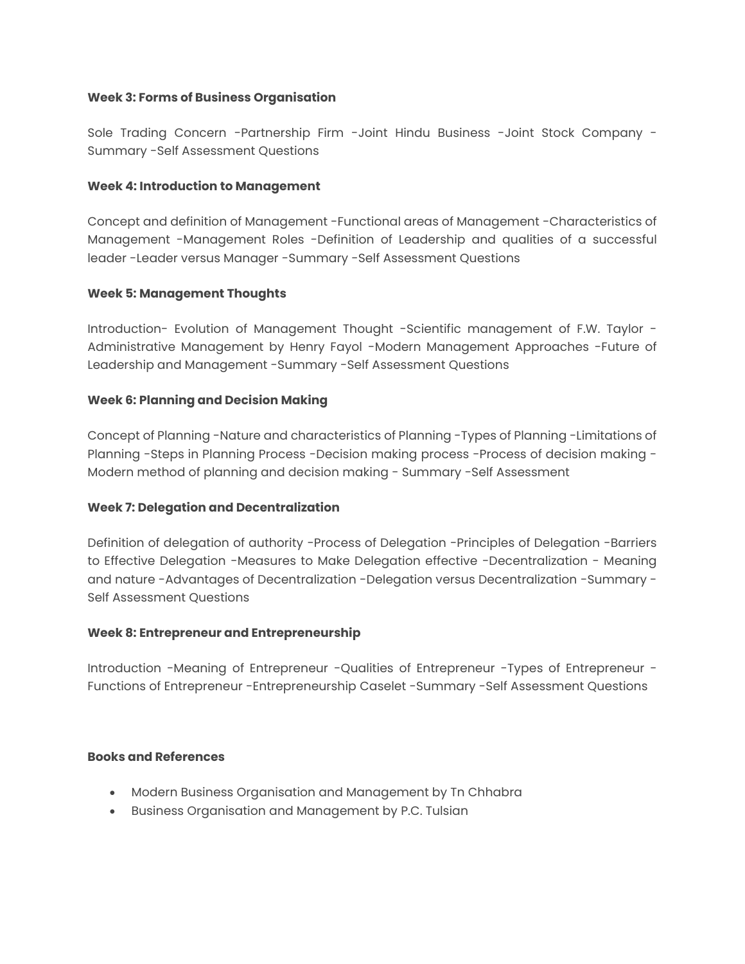#### **Week 3: Forms of Business Organisation**

Sole Trading Concern -Partnership Firm -Joint Hindu Business -Joint Stock Company - Summary -Self Assessment Questions

### **Week 4: Introduction to Management**

Concept and definition of Management -Functional areas of Management -Characteristics of Management -Management Roles -Definition of Leadership and qualities of a successful leader -Leader versus Manager -Summary -Self Assessment Questions

### **Week 5: Management Thoughts**

Introduction- Evolution of Management Thought -Scientific management of F.W. Taylor - Administrative Management by Henry Fayol -Modern Management Approaches -Future of Leadership and Management -Summary -Self Assessment Questions

# **Week 6: Planning and Decision Making**

Concept of Planning -Nature and characteristics of Planning -Types of Planning -Limitations of Planning -Steps in Planning Process -Decision making process -Process of decision making - Modern method of planning and decision making - Summary -Self Assessment

# **Week 7: Delegation and Decentralization**

Definition of delegation of authority -Process of Delegation -Principles of Delegation -Barriers to Effective Delegation -Measures to Make Delegation effective -Decentralization - Meaning and nature -Advantages of Decentralization -Delegation versus Decentralization -Summary - Self Assessment Questions

#### **Week 8: Entrepreneur and Entrepreneurship**

Introduction -Meaning of Entrepreneur -Qualities of Entrepreneur -Types of Entrepreneur - Functions of Entrepreneur -Entrepreneurship Caselet -Summary -Self Assessment Questions

### **Books and References**

- Modern Business Organisation and Management by Tn Chhabra
- Business Organisation and Management by P.C. Tulsian